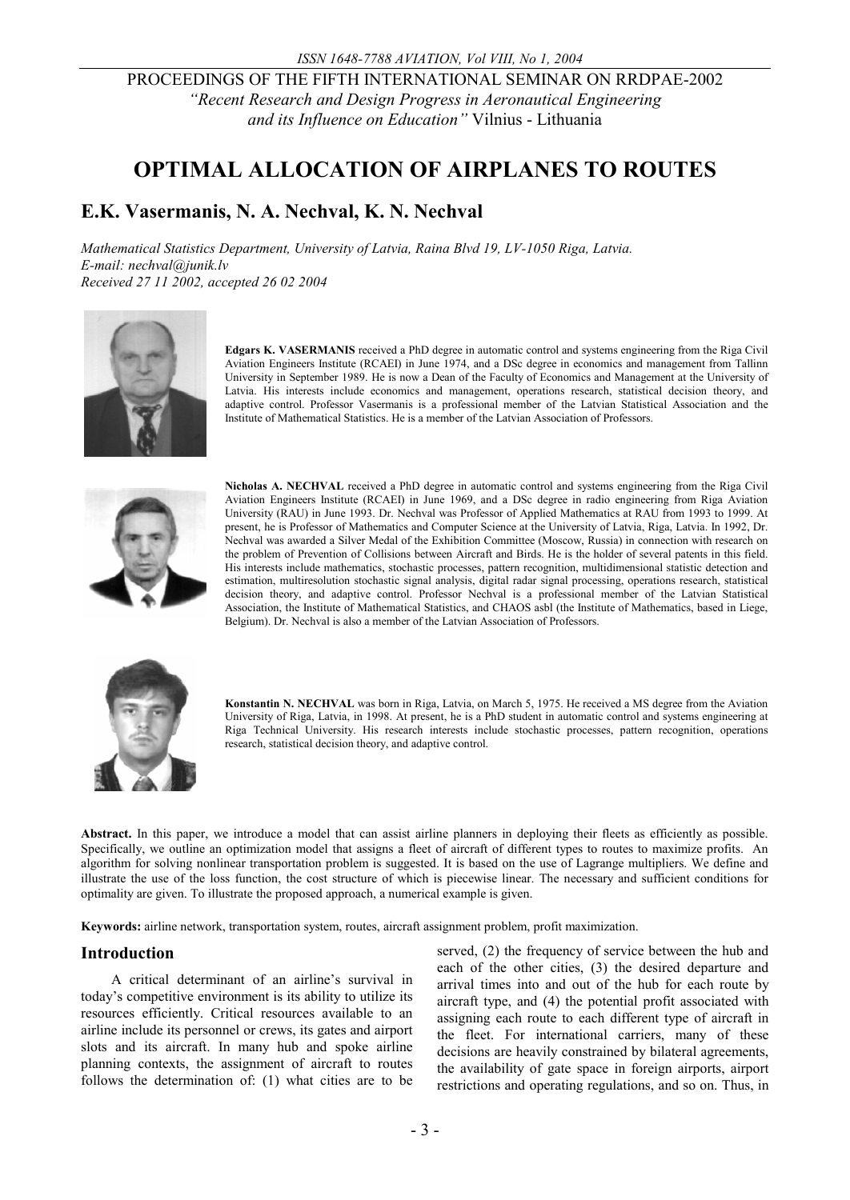PROCEEDINGS OF THE FIFTH INTERNATIONAL SEMINAR ON RRDPAE-2002 *"Recent Research and Design Progress in Aeronautical Engineering and its Influence on Education"* Vilnius - Lithuania

# **OPTIMAL ALLOCATION OF AIRPLANES TO ROUTES**

## **E.K. Vasermanis, N. A. Nechval, K. N. Nechval**

*Mathematical Statistics Department, University of Latvia, Raina Blvd 19, LV-1050 Riga, Latvia. E-mail: nechval@junik.lv Received 27 11 2002, accepted 26 02 2004* 



**Edgars K. VASERMANIS** received a PhD degree in automatic control and systems engineering from the Riga Civil Aviation Engineers Institute (RCAEI) in June 1974, and a DSc degree in economics and management from Tallinn University in September 1989. He is now a Dean of the Faculty of Economics and Management at the University of Latvia. His interests include economics and management, operations research, statistical decision theory, and adaptive control. Professor Vasermanis is a professional member of the Latvian Statistical Association and the Institute of Mathematical Statistics. He is a member of the Latvian Association of Professors.



**Nicholas A. NECHVAL** received a PhD degree in automatic control and systems engineering from the Riga Civil Aviation Engineers Institute (RCAEI) in June 1969, and a DSc degree in radio engineering from Riga Aviation University (RAU) in June 1993. Dr. Nechval was Professor of Applied Mathematics at RAU from 1993 to 1999. At present, he is Professor of Mathematics and Computer Science at the University of Latvia, Riga, Latvia. In 1992, Dr. Nechval was awarded a Silver Medal of the Exhibition Committee (Moscow, Russia) in connection with research on the problem of Prevention of Collisions between Aircraft and Birds. He is the holder of several patents in this field. His interests include mathematics, stochastic processes, pattern recognition, multidimensional statistic detection and estimation, multiresolution stochastic signal analysis, digital radar signal processing, operations research, statistical decision theory, and adaptive control. Professor Nechval is a professional member of the Latvian Statistical Association, the Institute of Mathematical Statistics, and CHAOS asbl (the Institute of Mathematics, based in Liege, Belgium). Dr. Nechval is also a member of the Latvian Association of Professors.



**Konstantin N. NECHVAL** was born in Riga, Latvia, on March 5, 1975. He received a MS degree from the Aviation University of Riga, Latvia, in 1998. At present, he is a PhD student in automatic control and systems engineering at Riga Technical University. His research interests include stochastic processes, pattern recognition, operations research, statistical decision theory, and adaptive control.

Abstract. In this paper, we introduce a model that can assist airline planners in deploying their fleets as efficiently as possible. Specifically, we outline an optimization model that assigns a fleet of aircraft of different types to routes to maximize profits. An algorithm for solving nonlinear transportation problem is suggested. It is based on the use of Lagrange multipliers. We define and illustrate the use of the loss function, the cost structure of which is piecewise linear. The necessary and sufficient conditions for optimality are given. To illustrate the proposed approach, a numerical example is given.

**Keywords:** airline network, transportation system, routes, aircraft assignment problem, profit maximization.

## **Introduction**

A critical determinant of an airline's survival in today's competitive environment is its ability to utilize its resources efficiently. Critical resources available to an airline include its personnel or crews, its gates and airport slots and its aircraft. In many hub and spoke airline planning contexts, the assignment of aircraft to routes follows the determination of: (1) what cities are to be

served, (2) the frequency of service between the hub and each of the other cities, (3) the desired departure and arrival times into and out of the hub for each route by aircraft type, and (4) the potential profit associated with assigning each route to each different type of aircraft in the fleet. For international carriers, many of these decisions are heavily constrained by bilateral agreements, the availability of gate space in foreign airports, airport restrictions and operating regulations, and so on. Thus, in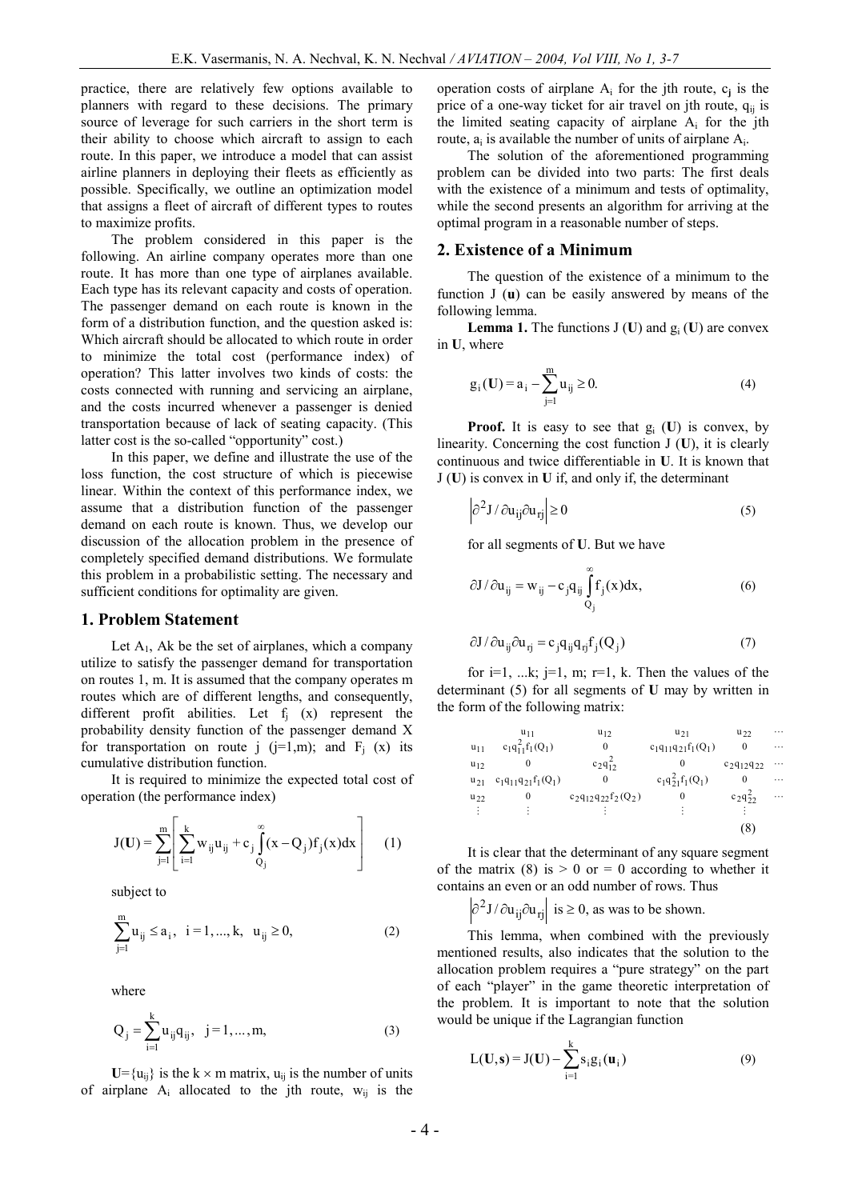practice, there are relatively few options available to planners with regard to these decisions. The primary source of leverage for such carriers in the short term is their ability to choose which aircraft to assign to each route. In this paper, we introduce a model that can assist airline planners in deploying their fleets as efficiently as possible. Specifically, we outline an optimization model that assigns a fleet of aircraft of different types to routes to maximize profits.

The problem considered in this paper is the following. An airline company operates more than one route. It has more than one type of airplanes available. Each type has its relevant capacity and costs of operation. The passenger demand on each route is known in the form of a distribution function, and the question asked is: Which aircraft should be allocated to which route in order to minimize the total cost (performance index) of operation? This latter involves two kinds of costs: the costs connected with running and servicing an airplane, and the costs incurred whenever a passenger is denied transportation because of lack of seating capacity. (This latter cost is the so-called "opportunity" cost.)

In this paper, we define and illustrate the use of the loss function, the cost structure of which is piecewise linear. Within the context of this performance index, we assume that a distribution function of the passenger demand on each route is known. Thus, we develop our discussion of the allocation problem in the presence of completely specified demand distributions. We formulate this problem in a probabilistic setting. The necessary and sufficient conditions for optimality are given.

#### **1. Problem Statement**

Let  $A_1$ , Ak be the set of airplanes, which a company utilize to satisfy the passenger demand for transportation on routes 1, m. It is assumed that the company operates m routes which are of different lengths, and consequently, different profit abilities. Let  $f_j(x)$  represent the probability density function of the passenger demand X for transportation on route j  $(j=1,m)$ ; and  $F_i$  (x) its cumulative distribution function.

It is required to minimize the expected total cost of operation (the performance index)

$$
J(\mathbf{U}) = \sum_{j=1}^{m} \left[ \sum_{i=1}^{k} w_{ij} u_{ij} + c_j \int_{Q_j}^{\infty} (x - Q_j) f_j(x) dx \right]
$$
 (1)

subject to

$$
\sum_{j=1}^{m} u_{ij} \le a_i, \ \ i = 1, ..., k, \ \ u_{ij} \ge 0,
$$
 (2)

where

$$
Q_j = \sum_{i=1}^{k} u_{ij} q_{ij}, \quad j = 1, ..., m,
$$
 (3)

 $U = {u_{ij}}$  is the k  $\times$  m matrix,  $u_{ij}$  is the number of units of airplane  $A_i$  allocated to the jth route,  $w_{ii}$  is the

operation costs of airplane  $A_i$  for the jth route,  $c_j$  is the price of a one-way ticket for air travel on jth route,  $q_{ii}$  is the limited seating capacity of airplane  $A_i$  for the jth route,  $a_i$  is available the number of units of airplane  $A_i$ .

The solution of the aforementioned programming problem can be divided into two parts: The first deals with the existence of a minimum and tests of optimality, while the second presents an algorithm for arriving at the optimal program in a reasonable number of steps.

#### **2. Existence of a Minimum**

The question of the existence of a minimum to the function J (**u**) can be easily answered by means of the following lemma.

**Lemma 1.** The functions  $J(U)$  and  $g_i(U)$  are convex in **U**, where

$$
g_i(U) = a_i - \sum_{j=1}^{m} u_{ij} \ge 0.
$$
 (4)

**Proof.** It is easy to see that g<sup>i</sup> (**U**) is convex, by linearity. Concerning the cost function J (**U**), it is clearly continuous and twice differentiable in **U**. It is known that J (**U**) is convex in **U** if, and only if, the determinant

$$
\partial^2 J / \partial u_{ij} \partial u_{rj} \Big| \ge 0 \tag{5}
$$

for all segments of **U**. But we have

$$
\partial J/\partial u_{ij} = w_{ij} - c_j q_{ij} \int_{Q_j}^{\infty} f_j(x) dx,
$$
 (6)

$$
\partial J / \partial u_{ij} \partial u_{rj} = c_j q_{ij} q_{rj} f_j(Q_j)
$$
 (7)

for  $i=1$ , ...k;  $j=1$ , m;  $r=1$ , k. Then the values of the determinant (5) for all segments of **U** may by written in the form of the following matrix:

|          | u <sub>11</sub>           | $u_{12}$                  | $u_{21}$                  | $u_{22}$          | .        |
|----------|---------------------------|---------------------------|---------------------------|-------------------|----------|
| $u_{11}$ | $c_1q_{11}^2f_1(Q_1)$     | $\theta$                  | $c_1q_{11}q_{21}f_1(Q_1)$ |                   | .        |
| $u_{12}$ | $\theta$                  | $c_2q_1^2$                |                           | $C_2q_{12}q_{22}$ | $\cdots$ |
| $u_{21}$ | $c_1q_{11}q_{21}f_1(Q_1)$ | $\theta$                  | $c_1q_{21}^2f_1(Q_1)$     |                   | .        |
| $u_{22}$ | 0                         | $c_2q_{12}q_{22}f_2(Q_2)$ | $\theta$                  | $c_{2}q_{22}$     | $\cdots$ |
| ÷        | ٠                         |                           | ٠                         |                   |          |
|          |                           |                           |                           | Ō                 |          |

It is clear that the determinant of any square segment of the matrix (8) is  $> 0$  or  $= 0$  according to whether it contains an even or an odd number of rows. Thus

 $\partial^2 J / \partial u_{ij} \partial u_{rij}$  is  $\geq 0$ , as was to be shown.

This lemma, when combined with the previously mentioned results, also indicates that the solution to the allocation problem requires a "pure strategy" on the part of each "player" in the game theoretic interpretation of the problem. It is important to note that the solution would be unique if the Lagrangian function

$$
L(\mathbf{U}, \mathbf{s}) = J(\mathbf{U}) - \sum_{i=1}^{k} s_i g_i(\mathbf{u}_i)
$$
(9)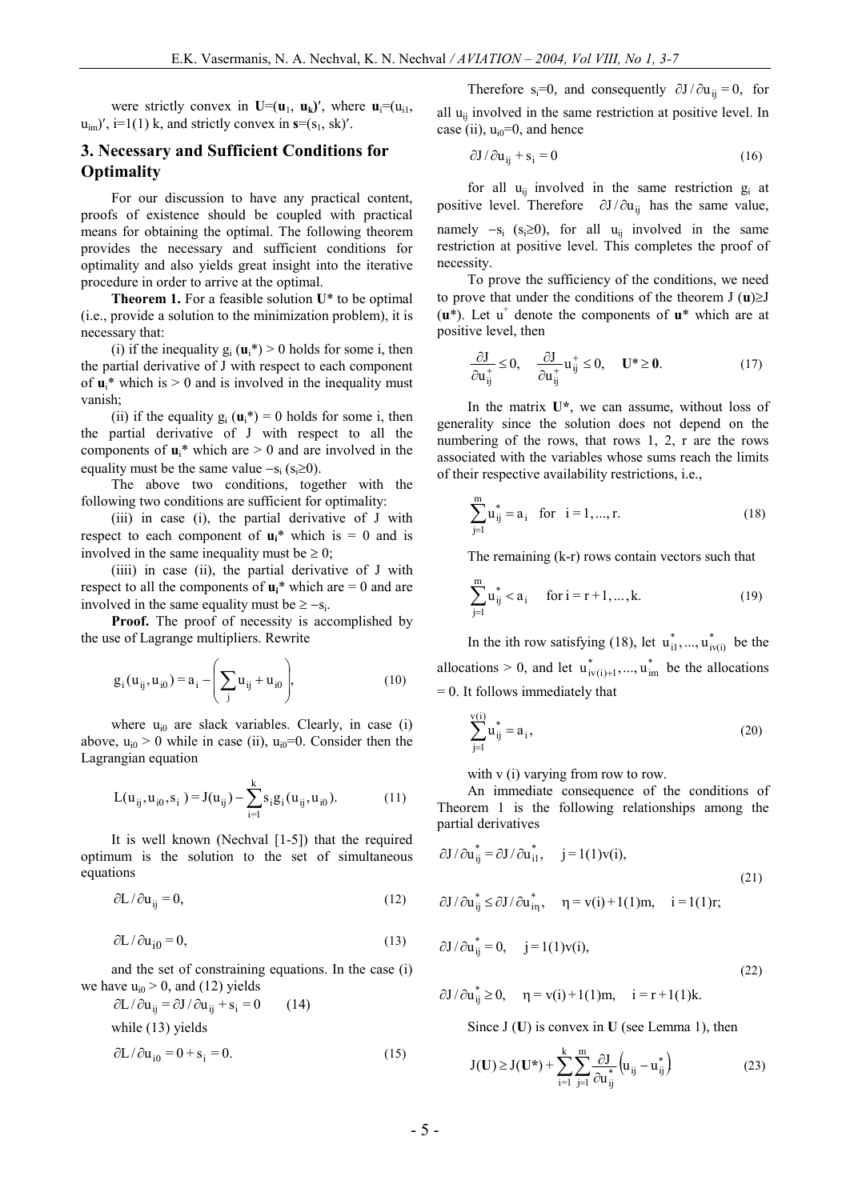were strictly convex in  $U=(u_1, u_k)$ , where  $u_i=(u_i)$ ,  $u_{im}$ , i=1(1) k, and strictly convex in  $s=(s_1, sk)'$ .

### **3. Necessary and Sufficient Conditions for Optimality**

For our discussion to have any practical content, proofs of existence should be coupled with practical means for obtaining the optimal. The following theorem provides the necessary and sufficient conditions for optimality and also yields great insight into the iterative procedure in order to arrive at the optimal.

**Theorem 1.** For a feasible solution **U**\* to be optimal (i.e., provide a solution to the minimization problem), it is necessary that:

(i) if the inequality  $g_i(\mathbf{u}_i^*) > 0$  holds for some i, then the partial derivative of J with respect to each component of  $\mathbf{u}_i^*$  which is  $> 0$  and is involved in the inequality must vanish;

(ii) if the equality  $g_i(\mathbf{u}_i^*) = 0$  holds for some i, then the partial derivative of J with respect to all the components of  $\mathbf{u}_i^*$  which are  $> 0$  and are involved in the equality must be the same value  $-s_i$  ( $s_i \ge 0$ ).

The above two conditions, together with the following two conditions are sufficient for optimality:

(iii) in case (i), the partial derivative of J with respect to each component of  $\mathbf{u_i}^*$  which is = 0 and is involved in the same inequality must be  $\geq 0$ ;

(iiii) in case (ii), the partial derivative of J with respect to all the components of  $\mathbf{u}_i^*$  which are  $= 0$  and are involved in the same equality must be  $\geq -s_i$ .

**Proof.** The proof of necessity is accomplished by the use of Lagrange multipliers. Rewrite

$$
g_i(u_{ij}, u_{i0}) = a_i - \left(\sum_j u_{ij} + u_{i0}\right),
$$
 (10)

where  $u_{i0}$  are slack variables. Clearly, in case (i) above,  $u_{i0} > 0$  while in case (ii),  $u_{i0} = 0$ . Consider then the Lagrangian equation

$$
L(u_{ij}, u_{i0}, s_i) = J(u_{ij}) - \sum_{i=1}^{k} s_i g_i(u_{ij}, u_{i0}).
$$
 (11)

It is well known (Nechval [1-5]) that the required optimum is the solution to the set of simultaneous equations

$$
\partial L / \partial u_{ij} = 0, \tag{12}
$$

$$
\partial L / \partial u_{i0} = 0, \tag{13}
$$

and the set of constraining equations. In the case (i) we have  $u_{i0} > 0$ , and (12) yields

$$
\partial L / \partial u_{ij} = \partial J / \partial u_{ij} + s_i = 0 \qquad (14)
$$
  
while (13) yields  

$$
\partial L / \partial u_{i0} = 0 + s_i = 0. \qquad (15)
$$

Therefore s<sub>i</sub>=0, and consequently  $\partial J/\partial u_{ii} = 0$ , for all  $u_{ii}$  involved in the same restriction at positive level. In case (ii),  $u_{i0}=0$ , and hence

$$
\partial J / \partial u_{ij} + s_i = 0 \tag{16}
$$

for all  $u_{ii}$  involved in the same restriction  $g_i$  at positive level. Therefore  $\partial J/\partial u_{ii}$  has the same value, namely  $-s_i$  (s<sub>i</sub> $\geq$ 0), for all u<sub>ij</sub> involved in the same restriction at positive level. This completes the proof of necessity.

To prove the sufficiency of the conditions, we need to prove that under the conditions of the theorem  $J(\mathbf{u})\ge J$  $(\mathbf{u}^*)$ . Let  $\mathbf{u}^+$  denote the components of  $\mathbf{u}^*$  which are at positive level, then

$$
\frac{\partial J}{\partial u_{ij}^+} \le 0, \quad \frac{\partial J}{\partial u_{ij}^+} u_{ij}^+ \le 0, \quad U^* \ge 0.
$$
 (17)

In the matrix **U\***, we can assume, without loss of generality since the solution does not depend on the numbering of the rows, that rows 1, 2, r are the rows associated with the variables whose sums reach the limits of their respective availability restrictions, i.e.,

$$
\sum_{j=1}^{m} u_{ij}^{*} = a_{i} \text{ for } i = 1, ..., r. \qquad (18)
$$

The remaining (k-r) rows contain vectors such that

$$
\sum_{j=1}^{m} u_{ij}^{*} < a_i \quad \text{for } i = r+1, ..., k. \tag{19}
$$

In the ith row satisfying (18), let  $u_{i1}^*$ , ...,  $u_{iv(i)}^*$  be the allocations > 0, and let  $u^*_{iv(i)+1},...,u^*_{im}$  be the allocations  $= 0$ . It follows immediately that

$$
\sum_{j=1}^{v(i)} u_{ij}^* = a_i,
$$
\n(20)

with v (i) varying from row to row.

An immediate consequence of the conditions of Theorem 1 is the following relationships among the partial derivatives

$$
\partial J/\partial u_{ij}^* = \partial J/\partial u_{i1}^*, \quad j = 1(1)v(i),
$$
  
\n
$$
\partial J/\partial u_{ij}^* \leq \partial J/\partial u_{i\eta}^*, \quad \eta = v(i) + 1(1)m, \quad i = 1(1)r;
$$
\n(21)

$$
\partial J / \partial u_{ij}^* = 0
$$
,  $j = 1(1)v(i)$ ,

(22)

$$
\partial J / \partial u_{ij}^* \ge 0
$$
,  $\eta = v(i) + 1(1)m$ ,  $i = r + 1(1)k$ .

Since J (**U**) is convex in **U** (see Lemma 1), then

$$
J(U) \ge J(U^*) + \sum_{i=1}^{k} \sum_{j=1}^{m} \frac{\partial J}{\partial u_{ij}^*} \left( u_{ij} - u_{ij}^* \right)
$$
 (23)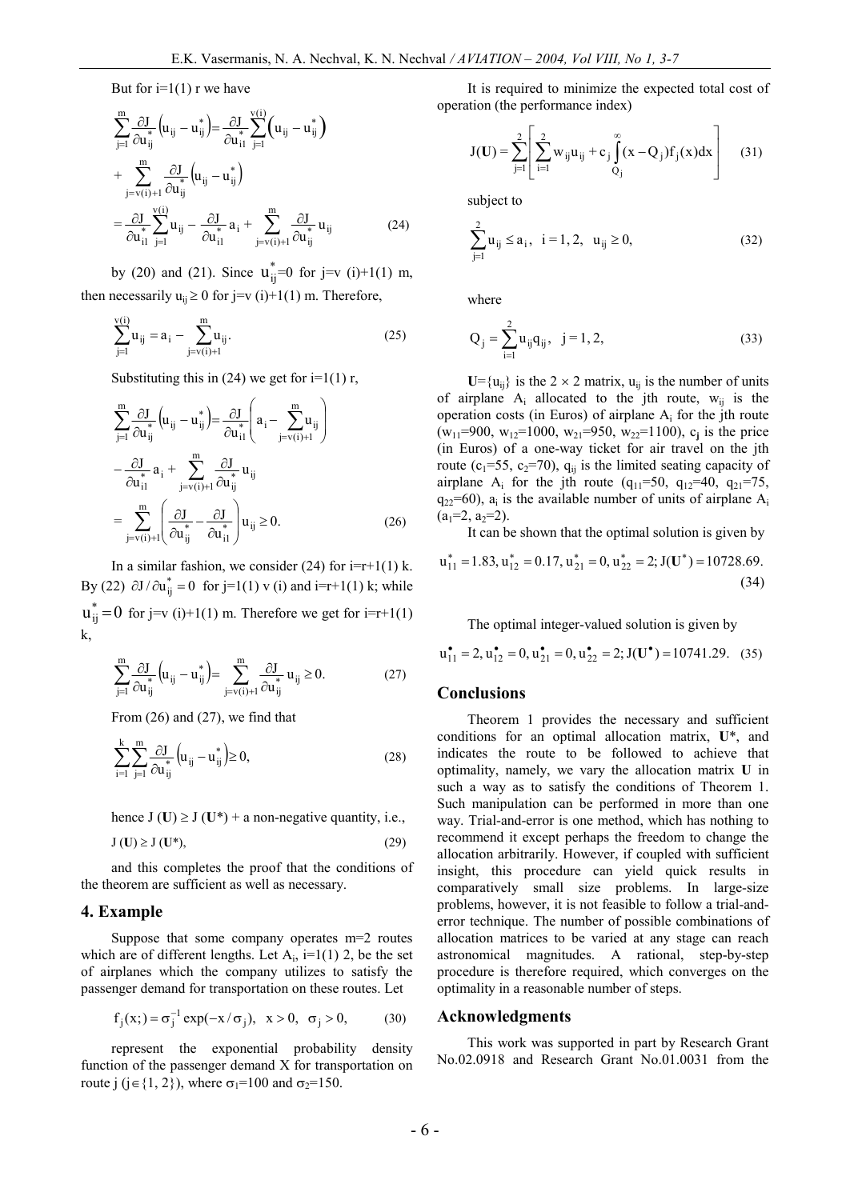But for  $i=1(1)$  r we have

$$
\sum_{j=1}^{m} \frac{\partial J}{\partial u_{ij}^*} (u_{ij} - u_{ij}^*) = \frac{\partial J}{\partial u_{i1}^*} \sum_{j=1}^{v(i)} (u_{ij} - u_{ij}^*)
$$
\n
$$
+ \sum_{j=v(i)+1}^{m} \frac{\partial J}{\partial u_{ij}^*} (u_{ij} - u_{ij}^*)
$$
\n
$$
= \frac{\partial J}{\partial u_{i1}^*} \sum_{j=1}^{v(i)} u_{ij} - \frac{\partial J}{\partial u_{i1}^*} a_i + \sum_{j=v(i)+1}^{m} \frac{\partial J}{\partial u_{ij}^*} u_{ij}
$$
\n(24)

by (20) and (21). Since  $u_{ij}^* = 0$  for j=v (i)+1(1) m, then necessarily  $u_{ij} \ge 0$  for j=v (i)+1(1) m. Therefore,

$$
\sum_{j=1}^{v(i)} u_{ij} = a_i - \sum_{j=v(i)+1}^{m} u_{ij}.
$$
 (25)

Substituting this in (24) we get for  $i=1(1)$  r,

$$
\sum_{j=1}^{m} \frac{\partial J}{\partial u_{ij}^{*}} \left( u_{ij} - u_{ij}^{*} \right) = \frac{\partial J}{\partial u_{i1}^{*}} \left( a_{i} - \sum_{j=v(i)+1}^{m} u_{ij} \right)
$$

$$
- \frac{\partial J}{\partial u_{i1}^{*}} a_{i} + \sum_{j=v(i)+1}^{m} \frac{\partial J}{\partial u_{ij}^{*}} u_{ij}
$$

$$
= \sum_{j=v(i)+1}^{m} \left( \frac{\partial J}{\partial u_{ij}^{*}} - \frac{\partial J}{\partial u_{i1}^{*}} \right) u_{ij} \ge 0.
$$
(26)

In a similar fashion, we consider (24) for  $i=r+1(1)$  k. By (22)  $\partial J / \partial u_{ij}^* = 0$  for j=1(1) v (i) and i=r+1(1) k; while  $u_{ij}^* = 0$  for j=v (i)+1(1) m. Therefore we get for i=r+1(1) k,

$$
\sum_{j=1}^m \frac{\partial J}{\partial u_{ij}^*} \Big( u_{ij} - u_{ij}^* \Big) = \sum_{j=v(i)+1}^m \frac{\partial J}{\partial u_{ij}^*} \, u_{ij} \geq 0. \tag{27}
$$

From (26) and (27), we find that

$$
\sum_{i=1}^{k} \sum_{j=1}^{m} \frac{\partial J}{\partial u_{ij}^*} \left( u_{ij} - u_{ij}^* \right) \ge 0,
$$
\n(28)

hence  $J(U) \ge J(U^*)$  + a non-negative quantity, i.e.,

$$
J(U) \ge J(U^*),\tag{29}
$$

and this completes the proof that the conditions of the theorem are sufficient as well as necessary.

#### **4. Example**

Suppose that some company operates m=2 routes which are of different lengths. Let  $A_i$ , i=1(1) 2, be the set of airplanes which the company utilizes to satisfy the passenger demand for transportation on these routes. Let

$$
f_j(x;)=\sigma_j^{-1} \exp(-x/\sigma_j), x>0, \sigma_j>0,
$$
 (30)

represent the exponential probability density function of the passenger demand X for transportation on route j (j \ \ \in {1, 2}), where  $\sigma_1$ =100 and  $\sigma_2$ =150.

It is required to minimize the expected total cost of operation (the performance index)

$$
J(U) = \sum_{j=1}^{2} \left[ \sum_{i=1}^{2} w_{ij} u_{ij} + c_j \int_{Q_j}^{\infty} (x - Q_j) f_j(x) dx \right]
$$
 (31)

subject to

$$
\sum_{j=1}^{2} u_{ij} \le a_i, \quad i = 1, 2, \quad u_{ij} \ge 0,
$$
\n(32)

where

$$
Q_j = \sum_{i=1}^{2} u_{ij} q_{ij}, \ \ j = 1, 2,
$$
 (33)

 $U = {u_{ii}}$  is the 2  $\times$  2 matrix,  $u_{ii}$  is the number of units of airplane  $A_i$  allocated to the jth route,  $W_{ii}$  is the operation costs (in Euros) of airplane  $A_i$  for the jth route  $(w_{11} = 900, w_{12} = 1000, w_{21} = 950, w_{22} = 1100)$ , c<sub>j</sub> is the price (in Euros) of a one-way ticket for air travel on the jth route ( $c_1$ =55,  $c_2$ =70),  $q_{ij}$  is the limited seating capacity of airplane A<sub>i</sub> for the jth route (q<sub>11</sub>=50, q<sub>12</sub>=40, q<sub>21</sub>=75,  $q_{22}$ =60),  $a_i$  is the available number of units of airplane  $A_i$  $(a_1=2, a_2=2)$ .

It can be shown that the optimal solution is given by

$$
u_{11}^{*} = 1.83, u_{12}^{*} = 0.17, u_{21}^{*} = 0, u_{22}^{*} = 2; J(U^{*}) = 10728.69.
$$
\n(34)

The optimal integer-valued solution is given by

$$
\mathbf{u}_{11}^{\bullet} = 2, \mathbf{u}_{12}^{\bullet} = 0, \mathbf{u}_{21}^{\bullet} = 0, \mathbf{u}_{22}^{\bullet} = 2; \mathbf{J}(\mathbf{U}^{\bullet}) = 10741.29. \quad (35)
$$

#### **Conclusions**

Theorem 1 provides the necessary and sufficient conditions for an optimal allocation matrix, **U**\*, and indicates the route to be followed to achieve that optimality, namely, we vary the allocation matrix **U** in such a way as to satisfy the conditions of Theorem 1. Such manipulation can be performed in more than one way. Trial-and-error is one method, which has nothing to recommend it except perhaps the freedom to change the allocation arbitrarily. However, if coupled with sufficient insight, this procedure can yield quick results in comparatively small size problems. In large-size problems, however, it is not feasible to follow a trial-anderror technique. The number of possible combinations of allocation matrices to be varied at any stage can reach astronomical magnitudes. A rational, step-by-step procedure is therefore required, which converges on the optimality in a reasonable number of steps.

#### **Acknowledgments**

This work was supported in part by Research Grant No.02.0918 and Research Grant No.01.0031 from the